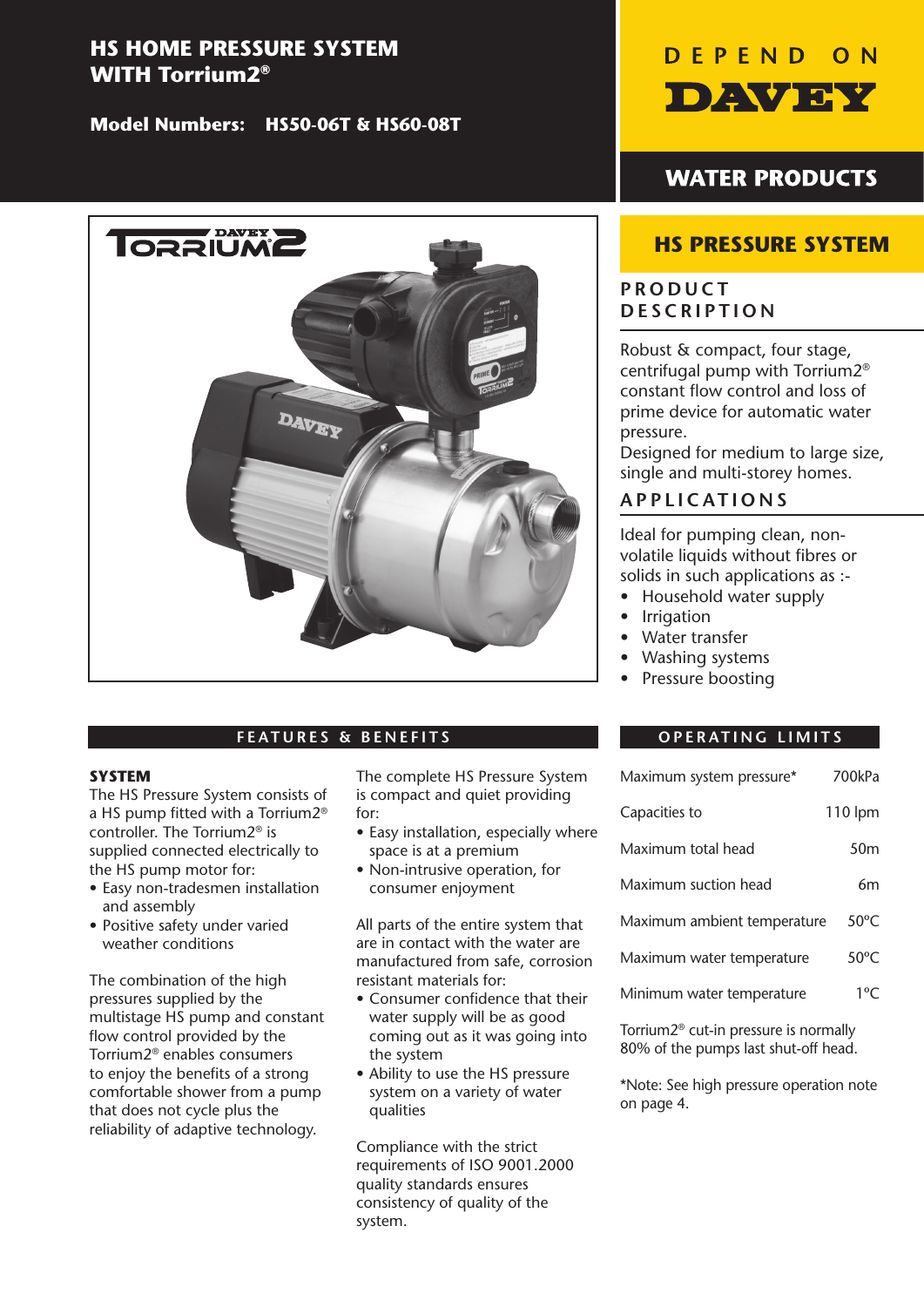# **HS HOME PRESSURE SYSTEM WITH Torrium2®**

**Model Numbers: HS50-06T & HS60-08T**



# **FEATURES & BENEFITS**

#### **SYSTEM**

The HS Pressure System consists of a HS pump fitted with a Torrium2<sup>®</sup> controller. The Torrium2® is supplied connected electrically to the HS pump motor for:

- Easy non-tradesmen installation and assembly
- Positive safety under varied weather conditions

The combination of the high pressures supplied by the multistage HS pump and constant flow control provided by the Torrium2® enables consumers to enjoy the benefits of a strong comfortable shower from a pump that does not cycle plus the reliability of adaptive technology.

The complete HS Pressure System is compact and quiet providing for:

- Easy installation, especially where space is at a premium
- Non-intrusive operation, for consumer enjoyment

All parts of the entire system that are in contact with the water are manufactured from safe, corrosion resistant materials for:

- Consumer confidence that their water supply will be as good coming out as it was going into the system
- Ability to use the HS pressure system on a variety of water qualities

Compliance with the strict requirements of ISO 9001.2000 quality standards ensures consistency of quality of the system.



# **WATER PRODUCTS**

# **HS PRESSURE SYSTEM**

# **PRODUCT DESCRIPTION**

Robust & compact, four stage, centrifugal pump with Torrium2® constant flow control and loss of prime device for automatic water pressure.

Designed for medium to large size, single and multi-storey homes.

# **APPLICATIONS**

Ideal for pumping clean, nonvolatile liquids without fibres or solids in such applications as :-

- Household water supply
- Irrigation
- Water transfer
- Washing systems
- Pressure boosting

## **OPERATING LIMITS**

| Maximum system pressure*    | 700kPa          |
|-----------------------------|-----------------|
| Capacities to               | 110 lpm         |
| Maximum total head          | 50 <sub>m</sub> |
| Maximum suction head        | 6m              |
| Maximum ambient temperature | $50^{\circ}$ C  |
| Maximum water temperature   | $50^{\circ}$ C  |
| Minimum water temperature   | $1^{\circ}$ C   |

Torrium2® cut-in pressure is normally 80% of the pumps last shut-off head.

\*Note: See high pressure operation note on page 4.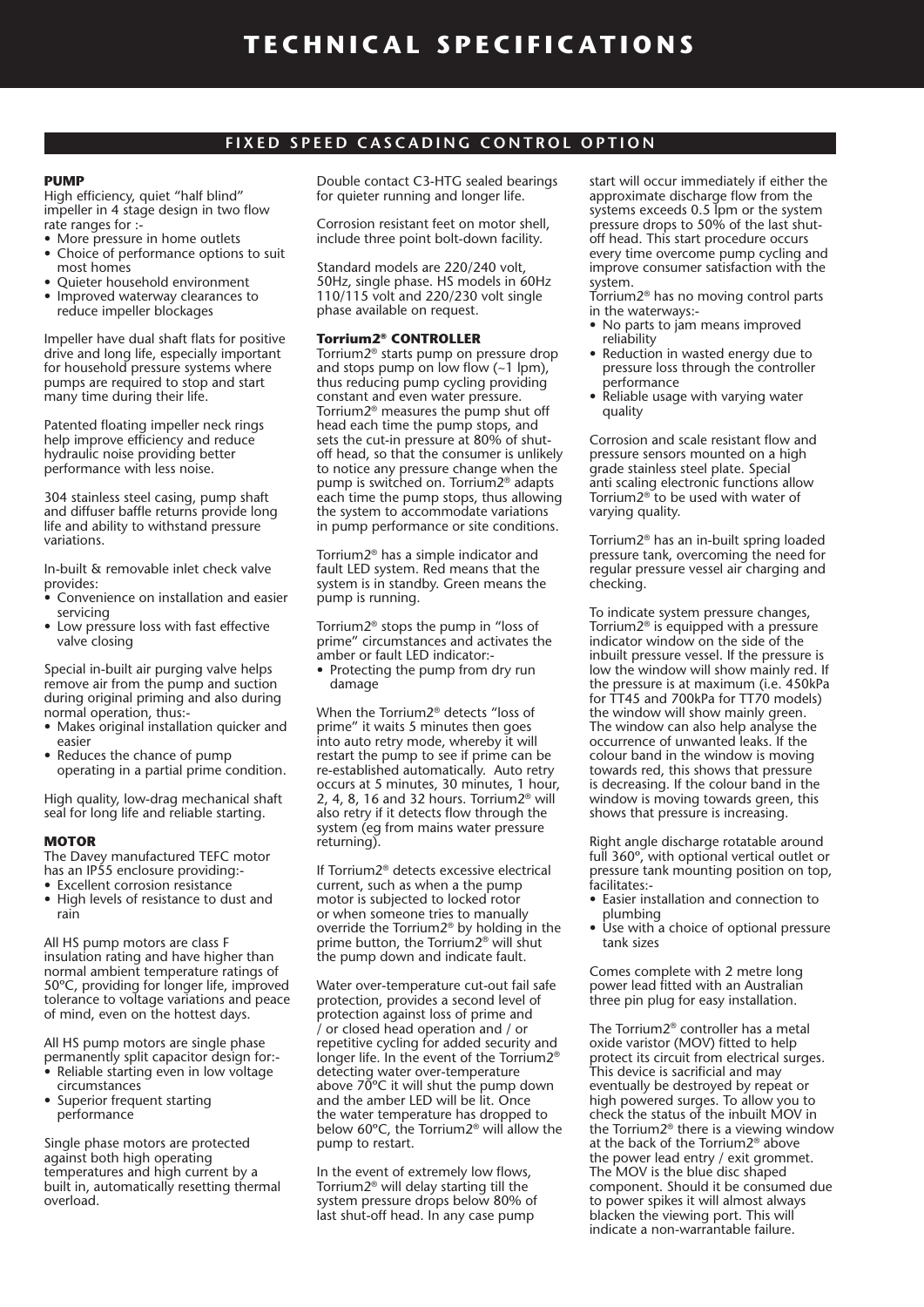#### **FIXED SPEED CASCADING CONTROL OPTION**

#### **PUMP**

High efficiency, quiet "half blind" impeller in 4 stage design in two flow rate ranges for :-

- More pressure in home outlets
- Choice of performance options to suit most homes
- Ouieter household environment
- Improved waterway clearances to reduce impeller blockages

Impeller have dual shaft flats for positive drive and long life, especially important for household pressure systems where pumps are required to stop and start many time during their life.

Patented floating impeller neck rings help improve efficiency and reduce hydraulic noise providing better performance with less noise.

304 stainless steel casing, pump shaft and diffuser baffle returns provide long life and ability to withstand pressure variations.

In-built & removable inlet check valve provides:

- Convenience on installation and easier servicing
- Low pressure loss with fast effective valve closing

Special in-built air purging valve helps remove air from the pump and suction during original priming and also during normal operation, thus:-

- Makes original installation quicker and easier
- Reduces the chance of pump operating in a partial prime condition.

High quality, low-drag mechanical shaft seal for long life and reliable starting.

#### **MOTOR**

The Davey manufactured TEFC motor has an IP55 enclosure providing:-

- Excellent corrosion resistance • High levels of resistance to dust and
- rain

All HS pump motors are class F insulation rating and have higher than normal ambient temperature ratings of 50°C, providing for longer life, improved tolerance to voltage variations and peace of mind, even on the hottest days.

All HS pump motors are single phase permanently split capacitor design for:-

- Reliable starting even in low voltage circumstances
- Superior frequent starting performance

Single phase motors are protected against both high operating temperatures and high current by a built in, automatically resetting thermal overload.

Double contact C3-HTG sealed bearings for quieter running and longer life.

Corrosion resistant feet on motor shell, include three point bolt-down facility.

Standard models are 220/240 volt, 50Hz, single phase. HS models in 60Hz 110/115 volt and 220/230 volt single phase available on request.

#### **Torrium2® CONTROLLER**

Torrium2® starts pump on pressure drop and stops pump on low flow  $(-1 \text{ lpm})$ , thus reducing pump cycling providing constant and even water pressure. Torrium2® measures the pump shut off head each time the pump stops, and sets the cut-in pressure at 80% of shutoff head, so that the consumer is unlikely to notice any pressure change when the pump is switched on. Torrium2® adapts each time the pump stops, thus allowing the system to accommodate variations in pump performance or site conditions.

Torrium2® has a simple indicator and fault LED system. Red means that the system is in standby. Green means the pump is running.

Torrium2<sup>®</sup> stops the pump in "loss of prime" circumstances and activates the amber or fault LED indicator:-

• Protecting the pump from dry run damage

When the Torrium2<sup>®</sup> detects "loss of prime" it waits 5 minutes then goes into auto retry mode, whereby it will restart the pump to see if prime can be re-established automatically. Auto retry occurs at 5 minutes, 30 minutes, 1 hour, 2, 4, 8, 16 and 32 hours. Torrium $2^{\circ}$  will also retry if it detects flow through the system (eg from mains water pressure returning).

If Torrium2® detects excessive electrical current, such as when a the pump motor is subjected to locked rotor or when someone tries to manually override the Torrium2® by holding in the prime button, the Torrium2® will shut the pump down and indicate fault.

Water over-temperature cut-out fail safe protection, provides a second level of protection against loss of prime and / or closed head operation and / or repetitive cycling for added security and longer life. In the event of the Torrium2® detecting water over-temperature above  $70^{\circ}$ C it will shut the pump down and the amber LED will be lit. Once the water temperature has dropped to below 60 $\degree$ C, the Torrium2 $\degree$  will allow the pump to restart.

In the event of extremely low flows, Torrium2® will delay starting till the system pressure drops below 80% of last shut-off head. In any case pump

start will occur immediately if either the approximate discharge flow from the systems exceeds 0.5 lpm or the system pressure drops to 50% of the last shutoff head. This start procedure occurs every time overcome pump cycling and improve consumer satisfaction with the system.

- Torrium2® has no moving control parts in the waterways:-
- No parts to jam means improved reliability
- Reduction in wasted energy due to pressure loss through the controller performance
- Reliable usage with varying water quality

Corrosion and scale resistant flow and pressure sensors mounted on a high grade stainless steel plate. Special anti scaling electronic functions allow Torrium2® to be used with water of varying quality.

Torrium2® has an in-built spring loaded pressure tank, overcoming the need for regular pressure vessel air charging and checking.

To indicate system pressure changes, Torrium2® is equipped with a pressure indicator window on the side of the inbuilt pressure vessel. If the pressure is low the window will show mainly red. If the pressure is at maximum (i.e. 450kPa for  $TT45$  and 700kPa for  $TT70$  models) the window will show mainly green. The window can also help analyse the occurrence of unwanted leaks. If the colour band in the window is moving towards red, this shows that pressure is decreasing. If the colour band in the window is moving towards green, this shows that pressure is increasing.

Right angle discharge rotatable around full 360°, with optional vertical outlet or pressure tank mounting position on top, facilitates:-

- Easier installation and connection to plumbing
- Use with a choice of optional pressure tank sizes

Comes complete with 2 metre long power lead fitted with an Australian three pin plug for easy installation.

The Torrium2® controller has a metal oxide varistor (MOV) fitted to help protect its circuit from electrical surges. This device is sacrificial and may eventually be destroyed by repeat or high powered surges. To allow you to check the status of the inbuilt MOV in the Torrium2® there is a viewing window at the back of the Torrium2<sup>®</sup> above the power lead entry / exit grommet. The MOV is the blue disc shaped component. Should it be consumed due to power spikes it will almost always blacken the viewing port. This will indicate a non-warrantable failure.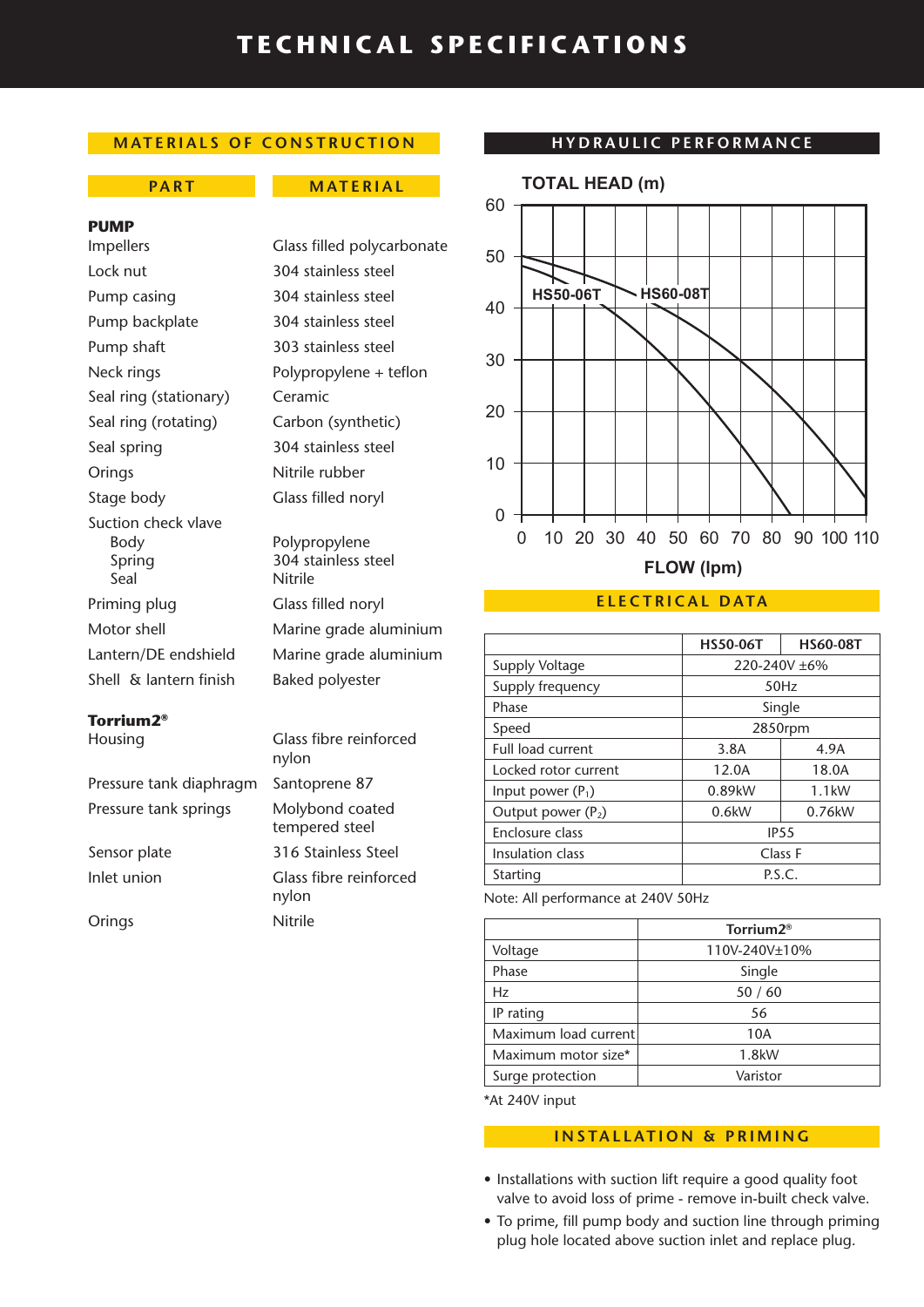# **TECHNICAL SPECIFICATIONS**

## **MATERIALS OF CONSTRUCTION**

#### **PART MATERIAL**

#### **PUMP**

Lock nut 304 stainless steel Pump casing 304 stainless steel Pump backplate 304 stainless steel Pump shaft 303 stainless steel Seal ring (stationary) Ceramic Seal ring (rotating) Carbon (synthetic) Seal spring 304 stainless steel Orings Nitrile rubber Stage body Glass filled noryl Suction check vlave Body Polypropylene Spring 304 stainless steel Seal Nitrile Priming plug Glass filled noryl Shell & lantern finish Baked polyester

## **Torrium2®**

Pressure tank diaphragm Santoprene 87 Pressure tank springs Molybond coated

Impellers Glass filled polycarbonate Neck rings Polypropylene + teflon

Motor shell Marine grade aluminium Lantern/DE endshield Marine grade aluminium

Housing Glass fibre reinforced nylon tempered steel Sensor plate 316 Stainless Steel Inlet union Glass fibre reinforced nylon Orings Nitrile

#### **HYDRAULIC PERFORMANCE**



#### **ELECTRICAL DATA**

|                      | <b>HS50-06T</b>  | <b>HS60-08T</b> |
|----------------------|------------------|-----------------|
| Supply Voltage       | 220-240V ±6%     |                 |
| Supply frequency     | 50Hz             |                 |
| Phase                | Single           |                 |
| Speed                | 2850rpm          |                 |
| Full load current    | 3.8A             | 4.9A            |
| Locked rotor current | 12.0A            | 18.0A           |
| Input power $(P_1)$  | 0.89kW           | $1.1$ kW        |
| Output power $(P_2)$ | 0.6kW            | 0.76kW          |
| Enclosure class      | IP <sub>55</sub> |                 |
| Insulation class     | Class F          |                 |
| Starting             | P.S.C.           |                 |

Note: All performance at 240V 50Hz

|                      | Torrium2 <sup>®</sup> |  |
|----------------------|-----------------------|--|
| Voltage              | 110V-240V±10%         |  |
| Phase                | Single                |  |
| Hz                   | 50/60                 |  |
| IP rating            | 56                    |  |
| Maximum load current | 10A                   |  |
| Maximum motor size*  | 1.8kW                 |  |
| Surge protection     | Varistor              |  |
|                      |                       |  |

\*At 240V input

## **INSTALLATION & PRIMING**

- Installations with suction lift require a good quality foot valve to avoid loss of prime - remove in-built check valve.
- To prime, fill pump body and suction line through priming plug hole located above suction inlet and replace plug.